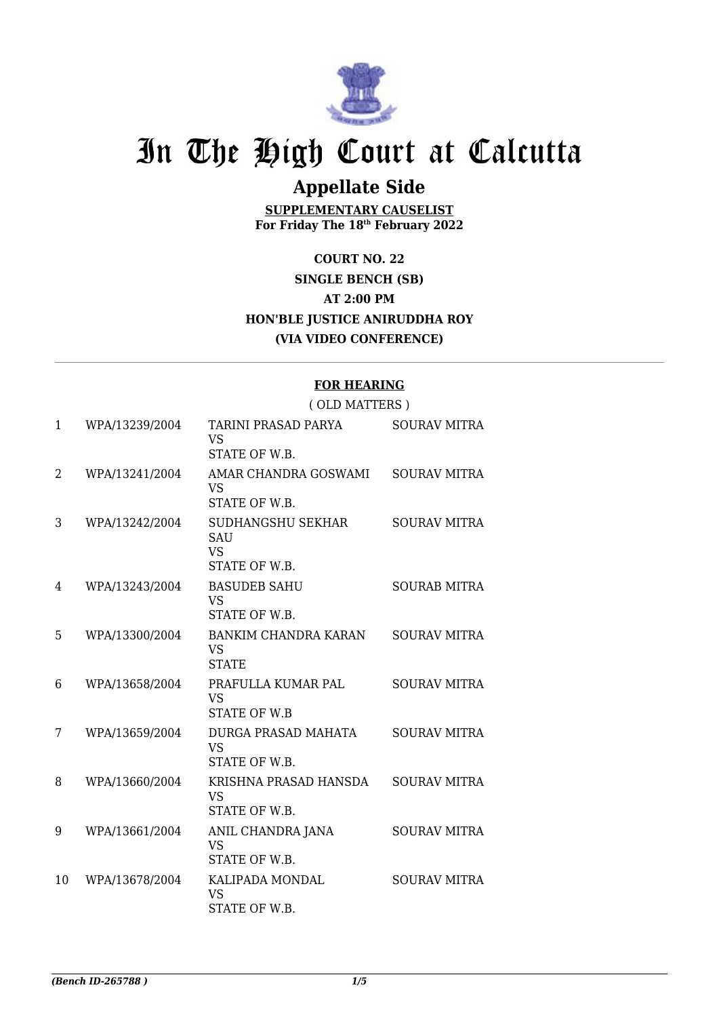

# In The High Court at Calcutta

## **Appellate Side**

**SUPPLEMENTARY CAUSELIST For Friday The 18th February 2022**

**COURT NO. 22 SINGLE BENCH (SB) AT 2:00 PM HON'BLE JUSTICE ANIRUDDHA ROY (VIA VIDEO CONFERENCE)**

#### **FOR HEARING**

#### ( OLD MATTERS ) 1 WPA/13239/2004 TARINI PRASAD PARYA VS STATE OF W.B. SOURAV MITRA 2 WPA/13241/2004 AMAR CHANDRA GOSWAMI VS STATE OF W.B. SOURAV MITRA 3 WPA/13242/2004 SUDHANGSHU SEKHAR **SAU** VS STATE OF W.B. SOURAV MITRA 4 WPA/13243/2004 BASUDEB SAHU VS STATE OF W.B. SOURAB MITRA 5 WPA/13300/2004 BANKIM CHANDRA KARAN VS **STATE** SOURAV MITRA 6 WPA/13658/2004 PRAFULLA KUMAR PAL VS STATE OF W.B SOURAV MITRA 7 WPA/13659/2004 DURGA PRASAD MAHATA VS STATE OF W.B. SOURAV MITRA 8 WPA/13660/2004 KRISHNA PRASAD HANSDA VS STATE OF W.B. SOURAV MITRA 9 WPA/13661/2004 ANIL CHANDRA JANA VS STATE OF W.B. SOURAV MITRA 10 WPA/13678/2004 KALIPADA MONDAL VS STATE OF W.B. SOURAV MITRA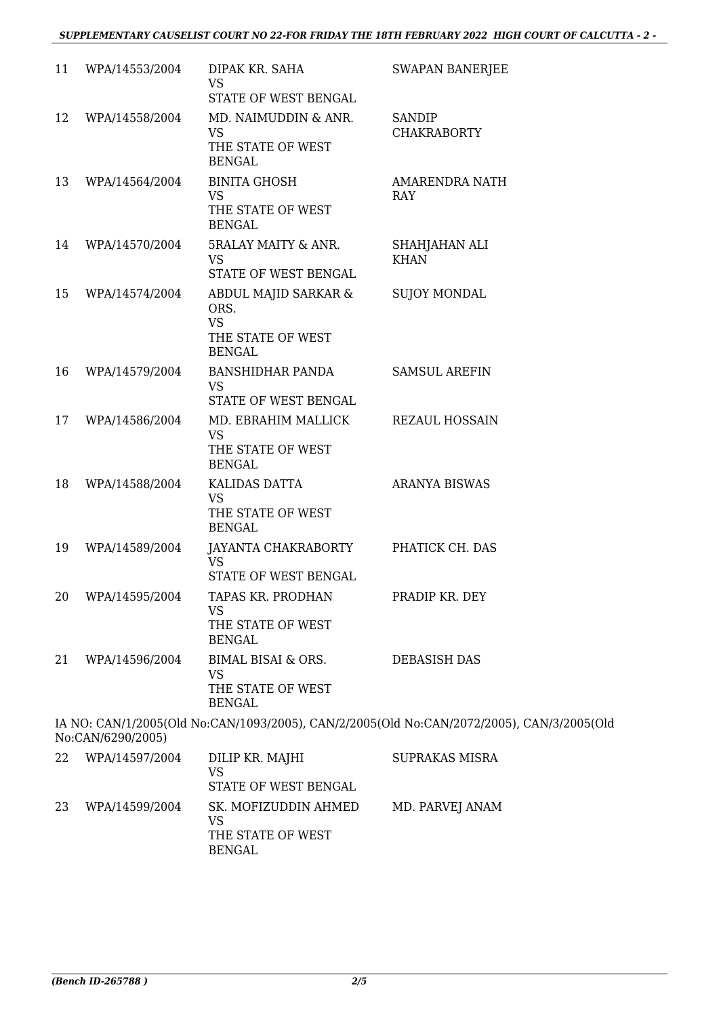| 11 | WPA/14553/2004    | DIPAK KR. SAHA<br>VS                                                             | <b>SWAPAN BANERJEE</b>                                                                    |
|----|-------------------|----------------------------------------------------------------------------------|-------------------------------------------------------------------------------------------|
|    |                   | STATE OF WEST BENGAL                                                             |                                                                                           |
| 12 | WPA/14558/2004    | MD. NAIMUDDIN & ANR.<br><b>VS</b><br>THE STATE OF WEST<br><b>BENGAL</b>          | <b>SANDIP</b><br><b>CHAKRABORTY</b>                                                       |
| 13 | WPA/14564/2004    | <b>BINITA GHOSH</b><br><b>VS</b><br>THE STATE OF WEST<br><b>BENGAL</b>           | AMARENDRA NATH<br>RAY                                                                     |
| 14 | WPA/14570/2004    | 5RALAY MAITY & ANR.<br>VS<br>STATE OF WEST BENGAL                                | SHAHJAHAN ALI<br><b>KHAN</b>                                                              |
| 15 | WPA/14574/2004    | ABDUL MAJID SARKAR &<br>ORS.<br><b>VS</b><br>THE STATE OF WEST<br><b>BENGAL</b>  | <b>SUJOY MONDAL</b>                                                                       |
| 16 | WPA/14579/2004    | BANSHIDHAR PANDA<br><b>VS</b><br>STATE OF WEST BENGAL                            | <b>SAMSUL AREFIN</b>                                                                      |
| 17 | WPA/14586/2004    | MD. EBRAHIM MALLICK<br><b>VS</b><br>THE STATE OF WEST<br><b>BENGAL</b>           | <b>REZAUL HOSSAIN</b>                                                                     |
| 18 | WPA/14588/2004    | KALIDAS DATTA<br>VS<br>THE STATE OF WEST<br><b>BENGAL</b>                        | <b>ARANYA BISWAS</b>                                                                      |
| 19 | WPA/14589/2004    | JAYANTA CHAKRABORTY<br><b>VS</b><br>STATE OF WEST BENGAL                         | PHATICK CH. DAS                                                                           |
|    | 20 WPA/14595/2004 | TAPAS KR. PRODHAN<br>VS<br>THE STATE OF WEST<br><b>BENGAL</b>                    | PRADIP KR. DEY                                                                            |
| 21 | WPA/14596/2004    | <b>BIMAL BISAI &amp; ORS.</b><br><b>VS</b><br>THE STATE OF WEST<br><b>BENGAL</b> | <b>DEBASISH DAS</b>                                                                       |
|    | No:CAN/6290/2005) |                                                                                  | IA NO: CAN/1/2005(Old No:CAN/1093/2005), CAN/2/2005(Old No:CAN/2072/2005), CAN/3/2005(Old |
| 22 | WPA/14597/2004    | DILIP KR. MAJHI<br><b>VS</b>                                                     | <b>SUPRAKAS MISRA</b>                                                                     |

|     |                | VS<br>STATE OF WEST BENGAL                                 |                 |
|-----|----------------|------------------------------------------------------------|-----------------|
| 23. | WPA/14599/2004 | SK. MOFIZUDDIN AHMED<br>VS<br>THE STATE OF WEST<br>BENGAL. | MD. PARVEJ ANAM |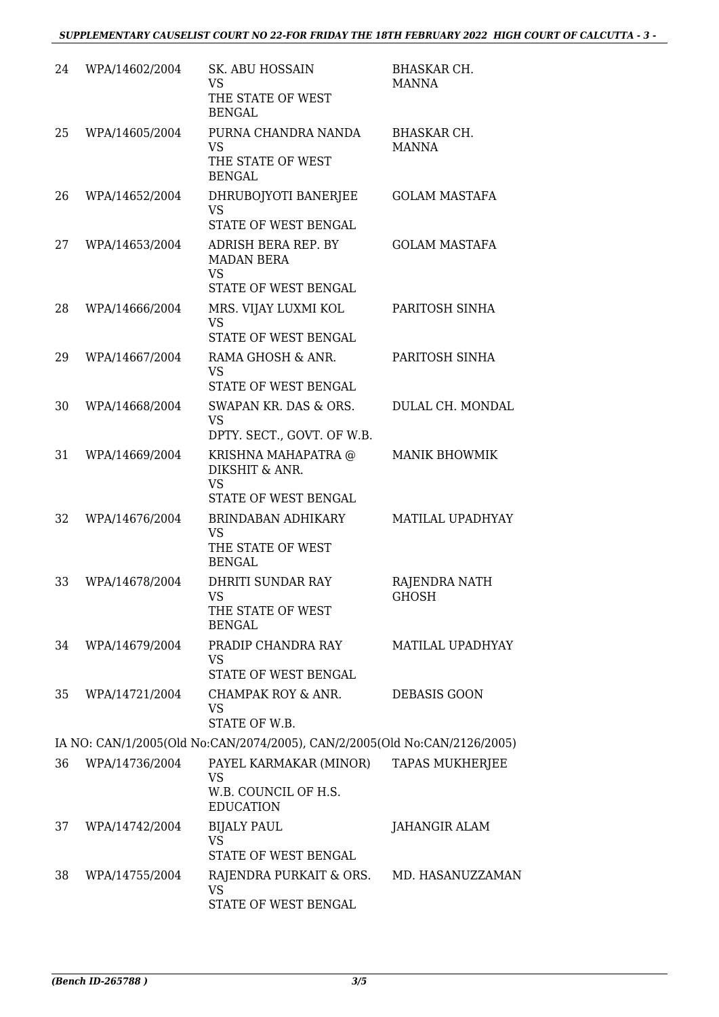| 24                                                                        | WPA/14602/2004 | SK. ABU HOSSAIN<br><b>VS</b><br>THE STATE OF WEST<br><b>BENGAL</b>                   | <b>BHASKAR CH.</b><br><b>MANNA</b> |  |  |
|---------------------------------------------------------------------------|----------------|--------------------------------------------------------------------------------------|------------------------------------|--|--|
| 25                                                                        | WPA/14605/2004 | PURNA CHANDRA NANDA<br><b>VS</b><br>THE STATE OF WEST<br><b>BENGAL</b>               | <b>BHASKAR CH.</b><br><b>MANNA</b> |  |  |
| 26                                                                        | WPA/14652/2004 | DHRUBOJYOTI BANERJEE<br><b>VS</b><br>STATE OF WEST BENGAL                            | <b>GOLAM MASTAFA</b>               |  |  |
| 27                                                                        | WPA/14653/2004 | <b>ADRISH BERA REP. BY</b><br><b>MADAN BERA</b><br><b>VS</b><br>STATE OF WEST BENGAL | <b>GOLAM MASTAFA</b>               |  |  |
| 28                                                                        | WPA/14666/2004 | MRS. VIJAY LUXMI KOL<br><b>VS</b><br>STATE OF WEST BENGAL                            | PARITOSH SINHA                     |  |  |
| 29                                                                        | WPA/14667/2004 | RAMA GHOSH & ANR.<br><b>VS</b><br>STATE OF WEST BENGAL                               | PARITOSH SINHA                     |  |  |
| 30                                                                        | WPA/14668/2004 | SWAPAN KR. DAS & ORS.<br><b>VS</b><br>DPTY. SECT., GOVT. OF W.B.                     | DULAL CH. MONDAL                   |  |  |
| 31                                                                        | WPA/14669/2004 | KRISHNA MAHAPATRA @<br>DIKSHIT & ANR.<br><b>VS</b><br>STATE OF WEST BENGAL           | <b>MANIK BHOWMIK</b>               |  |  |
| 32                                                                        | WPA/14676/2004 | BRINDABAN ADHIKARY<br><b>VS</b><br>THE STATE OF WEST<br><b>BENGAL</b>                | MATILAL UPADHYAY                   |  |  |
| 33                                                                        | WPA/14678/2004 | <b>DHRITI SUNDAR RAY</b><br>VS —<br>THE STATE OF WEST<br><b>BENGAL</b>               | RAJENDRA NATH<br>GHOSH             |  |  |
| 34                                                                        | WPA/14679/2004 | PRADIP CHANDRA RAY<br><b>VS</b><br>STATE OF WEST BENGAL                              | MATILAL UPADHYAY                   |  |  |
| 35                                                                        | WPA/14721/2004 | CHAMPAK ROY & ANR.<br><b>VS</b><br>STATE OF W.B.                                     | DEBASIS GOON                       |  |  |
| IA NO: CAN/1/2005(Old No:CAN/2074/2005), CAN/2/2005(Old No:CAN/2126/2005) |                |                                                                                      |                                    |  |  |
| 36                                                                        | WPA/14736/2004 | PAYEL KARMAKAR (MINOR)<br><b>VS</b><br>W.B. COUNCIL OF H.S.<br><b>EDUCATION</b>      | <b>TAPAS MUKHERJEE</b>             |  |  |
| 37                                                                        | WPA/14742/2004 | <b>BIJALY PAUL</b><br><b>VS</b><br>STATE OF WEST BENGAL                              | JAHANGIR ALAM                      |  |  |
| 38                                                                        | WPA/14755/2004 | RAJENDRA PURKAIT & ORS.<br><b>VS</b><br>STATE OF WEST BENGAL                         | MD. HASANUZZAMAN                   |  |  |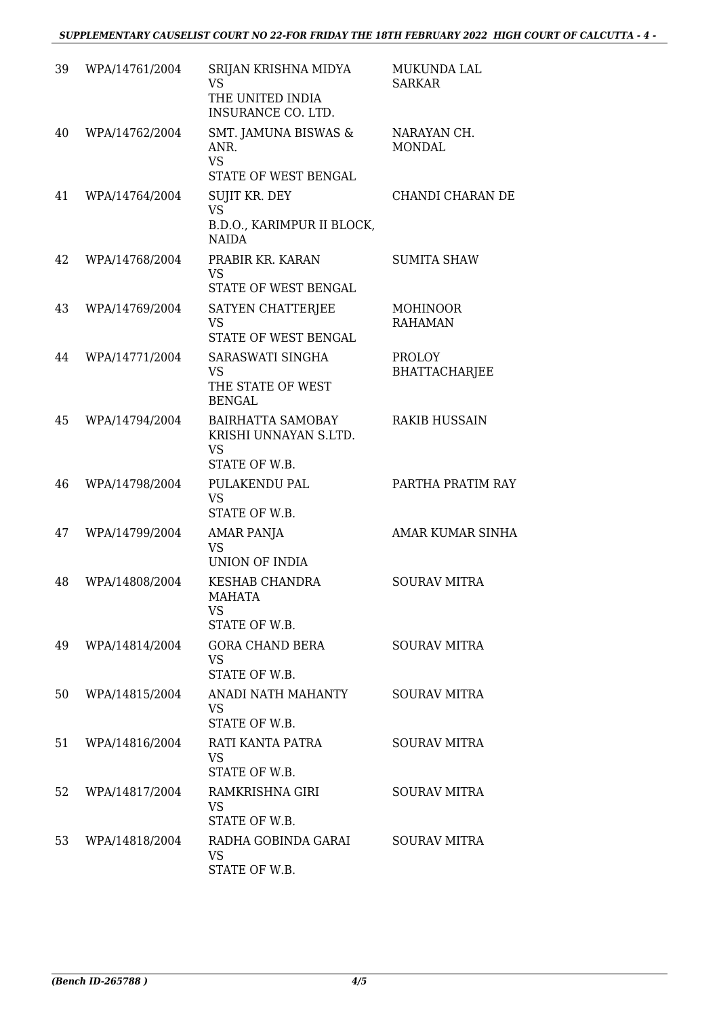### *SUPPLEMENTARY CAUSELIST COURT NO 22-FOR FRIDAY THE 18TH FEBRUARY 2022 HIGH COURT OF CALCUTTA - 4 -*

| 39 | WPA/14761/2004 | SRIJAN KRISHNA MIDYA<br>VS.<br>THE UNITED INDIA<br>INSURANCE CO. LTD.           | MUKUNDA LAL<br><b>SARKAR</b>          |
|----|----------------|---------------------------------------------------------------------------------|---------------------------------------|
| 40 | WPA/14762/2004 | SMT. JAMUNA BISWAS &<br>ANR.<br><b>VS</b><br>STATE OF WEST BENGAL               | NARAYAN CH.<br><b>MONDAL</b>          |
| 41 | WPA/14764/2004 | SUJIT KR. DEY<br><b>VS</b><br>B.D.O., KARIMPUR II BLOCK,<br><b>NAIDA</b>        | CHANDI CHARAN DE                      |
| 42 | WPA/14768/2004 | PRABIR KR. KARAN<br><b>VS</b><br>STATE OF WEST BENGAL                           | <b>SUMITA SHAW</b>                    |
| 43 | WPA/14769/2004 | SATYEN CHATTERJEE<br><b>VS</b><br>STATE OF WEST BENGAL                          | <b>MOHINOOR</b><br><b>RAHAMAN</b>     |
| 44 | WPA/14771/2004 | SARASWATI SINGHA<br><b>VS</b><br>THE STATE OF WEST<br><b>BENGAL</b>             | <b>PROLOY</b><br><b>BHATTACHARJEE</b> |
| 45 | WPA/14794/2004 | <b>BAIRHATTA SAMOBAY</b><br>KRISHI UNNAYAN S.LTD.<br><b>VS</b><br>STATE OF W.B. | <b>RAKIB HUSSAIN</b>                  |
| 46 | WPA/14798/2004 | PULAKENDU PAL<br><b>VS</b><br>STATE OF W.B.                                     | PARTHA PRATIM RAY                     |
| 47 | WPA/14799/2004 | <b>AMAR PANJA</b><br><b>VS</b><br>UNION OF INDIA                                | <b>AMAR KUMAR SINHA</b>               |
| 48 | WPA/14808/2004 | <b>KESHAB CHANDRA</b><br>MAHATA<br><b>VS</b><br>STATE OF W.B.                   | <b>SOURAV MITRA</b>                   |
| 49 | WPA/14814/2004 | <b>GORA CHAND BERA</b><br><b>VS</b><br>STATE OF W.B.                            | <b>SOURAV MITRA</b>                   |
| 50 | WPA/14815/2004 | ANADI NATH MAHANTY<br><b>VS</b><br>STATE OF W.B.                                | <b>SOURAV MITRA</b>                   |
| 51 | WPA/14816/2004 | RATI KANTA PATRA<br>VS.<br>STATE OF W.B.                                        | <b>SOURAV MITRA</b>                   |
| 52 | WPA/14817/2004 | RAMKRISHNA GIRI<br>VS.<br>STATE OF W.B.                                         | <b>SOURAV MITRA</b>                   |
| 53 | WPA/14818/2004 | RADHA GOBINDA GARAI<br>VS.<br>STATE OF W.B.                                     | <b>SOURAV MITRA</b>                   |